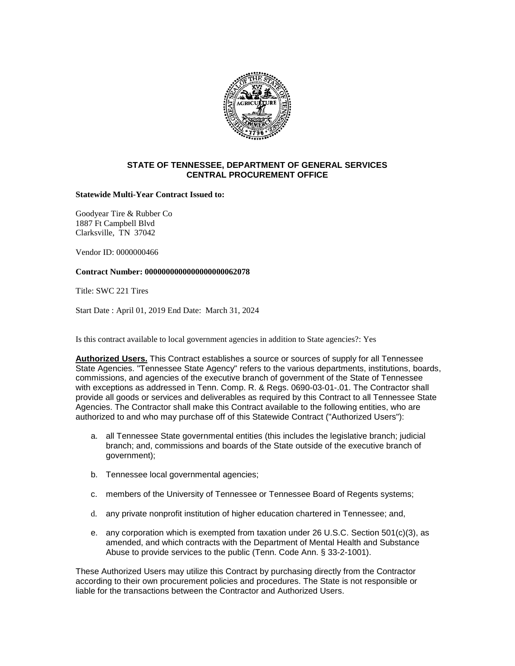

## **STATE OF TENNESSEE, DEPARTMENT OF GENERAL SERVICES CENTRAL PROCUREMENT OFFICE**

**Statewide Multi-Year Contract Issued to:**

Goodyear Tire & Rubber Co 1887 Ft Campbell Blvd Clarksville, TN 37042

Vendor ID: 0000000466

### **Contract Number: 0000000000000000000062078**

Title: SWC 221 Tires

Start Date : April 01, 2019 End Date: March 31, 2024

Is this contract available to local government agencies in addition to State agencies?: Yes

**Authorized Users.** This Contract establishes a source or sources of supply for all Tennessee State Agencies. "Tennessee State Agency" refers to the various departments, institutions, boards, commissions, and agencies of the executive branch of government of the State of Tennessee with exceptions as addressed in Tenn. Comp. R. & Regs. 0690-03-01-.01. The Contractor shall provide all goods or services and deliverables as required by this Contract to all Tennessee State Agencies. The Contractor shall make this Contract available to the following entities, who are authorized to and who may purchase off of this Statewide Contract ("Authorized Users"):

- a. all Tennessee State governmental entities (this includes the legislative branch; judicial branch; and, commissions and boards of the State outside of the executive branch of government);
- b. Tennessee local governmental agencies;
- c. members of the University of Tennessee or Tennessee Board of Regents systems;
- d. any private nonprofit institution of higher education chartered in Tennessee; and,
- e. any corporation which is exempted from taxation under 26 U.S.C. Section 501(c)(3), as amended, and which contracts with the Department of Mental Health and Substance Abuse to provide services to the public (Tenn. Code Ann. § 33-2-1001).

These Authorized Users may utilize this Contract by purchasing directly from the Contractor according to their own procurement policies and procedures. The State is not responsible or liable for the transactions between the Contractor and Authorized Users.